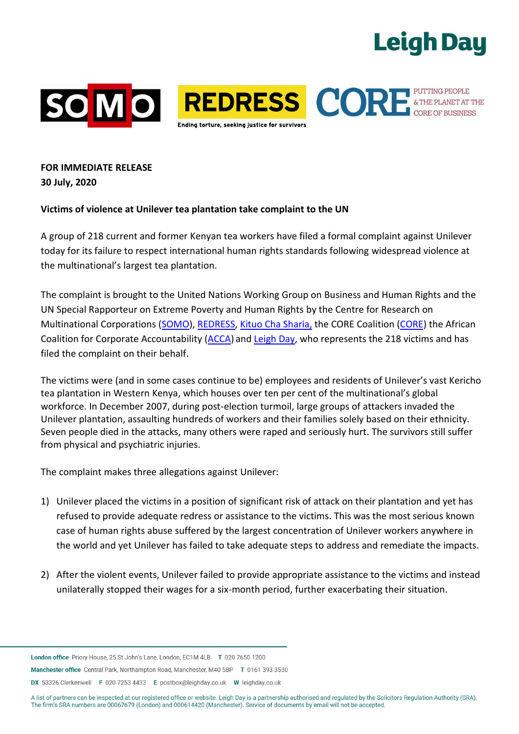# **Leigh Day**



SOMO REDRESS CORPETEDED FUTTING PEOPLE Indina torture, seekina justice for survivor:

**FOR IMMEDIATE RELEASE 30 July, 2020**

#### **Victims of violence at Unilever tea plantation take complaint to the UN**

A group of 218 current and former Kenyan tea workers have filed a formal complaint against Unilever today for its failure to respect international human rights standards following widespread violence at the multinational's largest tea plantation.

The complaint is brought to the United Nations Working Group on Business and Human Rights and the UN Special Rapporteur on Extreme Poverty and Human Rights by the Centre for Research on Multinational Corporations (SOMO), REDRESS, Kituo Cha Sharia, the CORE Coalition (CORE) the African Coalition for Corporate Accountability (ACCA) and Leigh Day, who represents the 218 victims and has filed the complaint on their behalf.

The victims were (and in some cases continue to be) employees and residents of Unilever's vast Kericho tea plantation in Western Kenya, which houses over ten per cent of the multinational's global workforce. In December 2007, during post-election turmoil, large groups of attackers invaded the Unilever plantation, assaulting hundreds of workers and their families solely based on their ethnicity. Seven people died in the attacks, many others were raped and seriously hurt. The survivors still suffer from physical and psychiatric injuries.

The complaint makes three allegations against Unilever:

- 1) Unilever placed the victims in a position of significant risk of attack on their plantation and yet has refused to provide adequate redress or assistance to the victims. This was the most serious known case of human rights abuse suffered by the largest concentration of Unilever workers anywhere in the world and yet Unilever has failed to take adequate steps to address and remediate the impacts.
- 2) After the violent events, Unilever failed to provide appropriate assistance to the victims and instead unilaterally stopped their wages for a six-month period, further exacerbating their situation.

Manchester office Central Park, Northampton Road, Manchester, M40 5BP T 0161 393 3530

DX 53326 Clerkenwell F 020 7253 4433 E postbox@leighday.co.uk W leighday.co.uk

London office Priory House, 25 St John's Lane, London, EC1M 4LB T 020 7650 1200

A list of partners can be inspected at our registered office or website. Leigh Day is a partnership authorised and regulated by the Solicitors Regulation Authority (SRA). The firm's SRA numbers are 00067679 (London) and 000614420 (Manchester). Service of documents by email will not be accepted.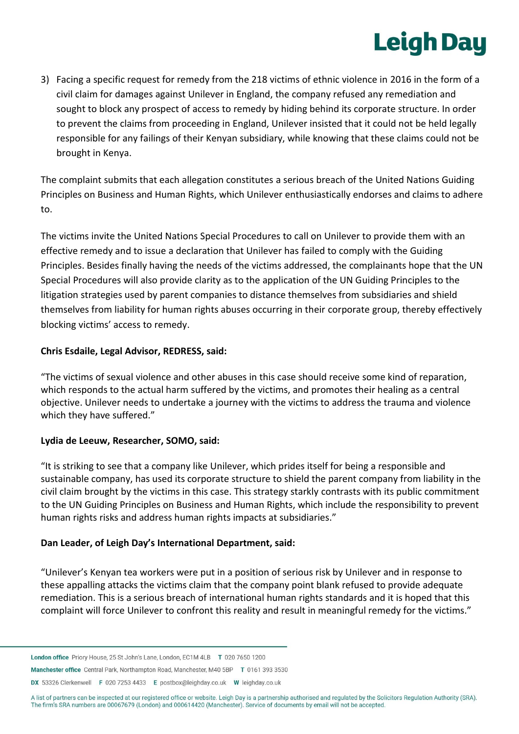# **Leigh Day**

3) Facing a specific request for remedy from the 218 victims of ethnic violence in 2016 in the form of a civil claim for damages against Unilever in England, the company refused any remediation and sought to block any prospect of access to remedy by hiding behind its corporate structure. In order to prevent the claims from proceeding in England, Unilever insisted that it could not be held legally responsible for any failings of their Kenyan subsidiary, while knowing that these claims could not be brought in Kenya.

The complaint submits that each allegation constitutes a serious breach of the United Nations Guiding Principles on Business and Human Rights, which Unilever enthusiastically endorses and claims to adhere to.

The victims invite the United Nations Special Procedures to call on Unilever to provide them with an effective remedy and to issue a declaration that Unilever has failed to comply with the Guiding Principles. Besides finally having the needs of the victims addressed, the complainants hope that the UN Special Procedures will also provide clarity as to the application of the UN Guiding Principles to the litigation strategies used by parent companies to distance themselves from subsidiaries and shield themselves from liability for human rights abuses occurring in their corporate group, thereby effectively blocking victims' access to remedy.

### **Chris Esdaile, Legal Advisor, REDRESS, said:**

"The victims of sexual violence and other abuses in this case should receive some kind of reparation, which responds to the actual harm suffered by the victims, and promotes their healing as a central objective. Unilever needs to undertake a journey with the victims to address the trauma and violence which they have suffered."

#### **Lydia de Leeuw, Researcher, SOMO, said:**

"It is striking to see that a company like Unilever, which prides itself for being a responsible and sustainable company, has used its corporate structure to shield the parent company from liability in the civil claim brought by the victims in this case. This strategy starkly contrasts with its public commitment to the UN Guiding Principles on Business and Human Rights, which include the responsibility to prevent human rights risks and address human rights impacts at subsidiaries."

#### **Dan Leader, of Leigh Day's International Department, said:**

"Unilever's Kenyan tea workers were put in a position of serious risk by Unilever and in response to these appalling attacks the victims claim that the company point blank refused to provide adequate remediation. This is a serious breach of international human rights standards and it is hoped that this complaint will force Unilever to confront this reality and result in meaningful remedy for the victims."

Manchester office Central Park, Northampton Road, Manchester, M40 5BP T 0161 393 3530

DX 53326 Clerkenwell F 020 7253 4433 E postbox@leighday.co.uk W leighday.co.uk

A list of partners can be inspected at our registered office or website. Leigh Day is a partnership authorised and regulated by the Solicitors Regulation Authority (SRA). The firm's SRA numbers are 00067679 (London) and 000614420 (Manchester). Service of documents by email will not be accepted.

London office Priory House, 25 St John's Lane, London, EC1M 4LB T 020 7650 1200